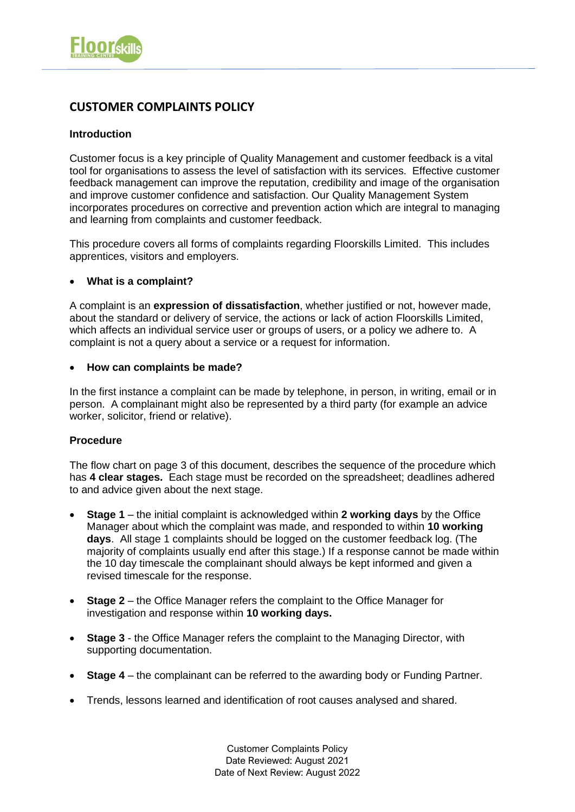# **CUSTOMER COMPLAINTS POLICY**

## **Introduction**

Customer focus is a key principle of Quality Management and customer feedback is a vital tool for organisations to assess the level of satisfaction with its services. Effective customer feedback management can improve the reputation, credibility and image of the organisation and improve customer confidence and satisfaction. Our Quality Management System incorporates procedures on corrective and prevention action which are integral to managing and learning from complaints and customer feedback.

This procedure covers all forms of complaints regarding Floorskills Limited. This includes apprentices, visitors and employers.

## • **What is a complaint?**

A complaint is an **expression of dissatisfaction**, whether justified or not, however made, about the standard or delivery of service, the actions or lack of action Floorskills Limited, which affects an individual service user or groups of users, or a policy we adhere to. A complaint is not a query about a service or a request for information.

#### • **How can complaints be made?**

In the first instance a complaint can be made by telephone, in person, in writing, email or in person. A complainant might also be represented by a third party (for example an advice worker, solicitor, friend or relative).

# **Procedure**

The flow chart on page 3 of this document, describes the sequence of the procedure which has **4 clear stages.** Each stage must be recorded on the spreadsheet; deadlines adhered to and advice given about the next stage.

- **Stage 1** the initial complaint is acknowledged within **2 working days** by the Office Manager about which the complaint was made, and responded to within **10 working days**. All stage 1 complaints should be logged on the customer feedback log. (The majority of complaints usually end after this stage.) If a response cannot be made within the 10 day timescale the complainant should always be kept informed and given a revised timescale for the response.
- **Stage 2**  the Office Manager refers the complaint to the Office Manager for investigation and response within **10 working days.**
- **Stage 3**  the Office Manager refers the complaint to the Managing Director, with supporting documentation.
- **Stage 4**  the complainant can be referred to the awarding body or Funding Partner.
- Trends, lessons learned and identification of root causes analysed and shared.

Customer Complaints Policy Date Reviewed: August 2021 Date of Next Review: August 2022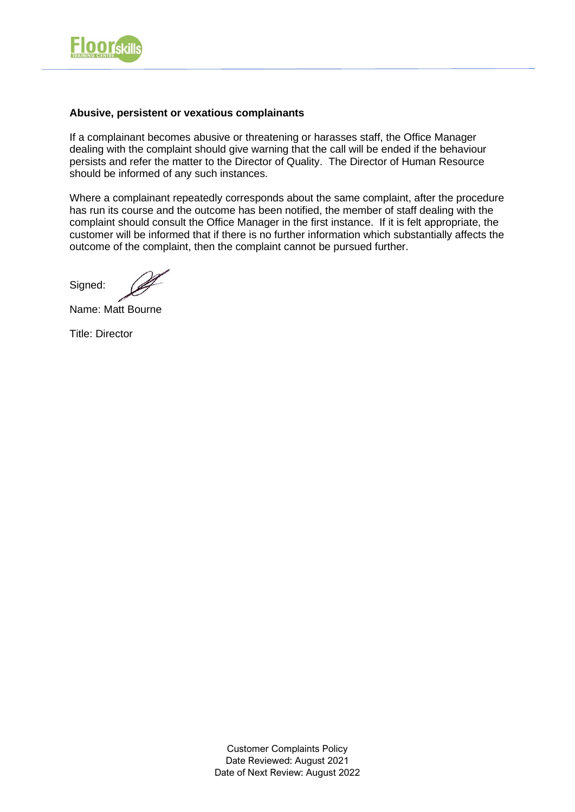

## **Abusive, persistent or vexatious complainants**

If a complainant becomes abusive or threatening or harasses staff, the Office Manager dealing with the complaint should give warning that the call will be ended if the behaviour persists and refer the matter to the Director of Quality. The Director of Human Resource should be informed of any such instances.

Where a complainant repeatedly corresponds about the same complaint, after the procedure has run its course and the outcome has been notified, the member of staff dealing with the complaint should consult the Office Manager in the first instance. If it is felt appropriate, the customer will be informed that if there is no further information which substantially affects the outcome of the complaint, then the complaint cannot be pursued further.

Signed:

Name: Matt Bourne

Title: Director

Customer Complaints Policy Date Reviewed: August 2021 Date of Next Review: August 2022